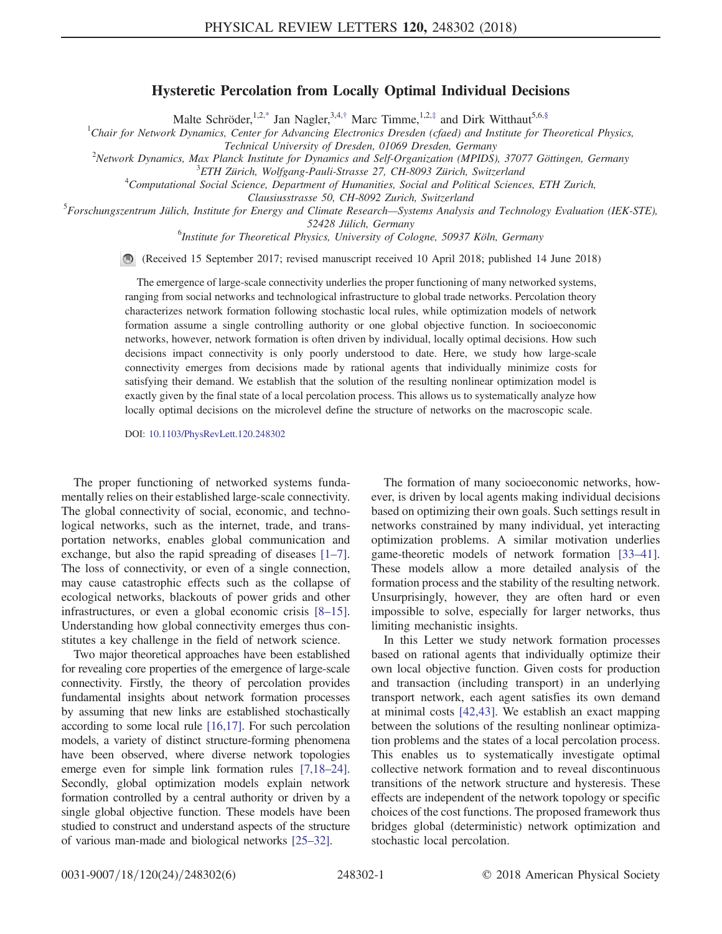## Hysteretic Percolation from Locally Optimal Individual Decisions

Malte Schröder,<sup>1,[2,\\*](#page-4-0)</sup> Jan Nagler,<sup>3,4,[†](#page-4-1)</sup> Marc Timme,<sup>1,2,[‡](#page-4-2)</sup> and Dirk Witthaut<sup>5,6[,§](#page-4-3)</sup>

<span id="page-0-0"></span><sup>1</sup>Chair for Network Dynamics, Center for Advancing Electronics Dresden (cfaed) and Institute for Theoretical Physics, Technical University of Dresden, 01069 Dresden, Germany<br><sup>2</sup>Network Dynamics, Max Blanek Institute for Dynamics and Self Oxeanization (MBIDS)<sup>2</sup>

Network Dynamics, Max Planck Institute for Dynamics and Self-Organization (MPIDS), 37077 Göttingen, Germany<br><sup>3</sup> ETH Zünich, Welfgang Bauli Strasse 27, CH 8003 Zünich, Switzgyland

 ${}^{3}ETH$  Zürich, Wolfgang-Pauli-Strasse 27, CH-8093 Zürich, Switzerland

<sup>4</sup>Computational Social Science, Department of Humanities, Social and Political Sciences, ETH Zurich,

Clausiusstrasse 50, CH-8092 Zurich, Switzerland<br><sup>5</sup>Forschungszentrum Jülich, Institute for Energy and Climate Research—Systems Analysis and Technology Evaluation (IEK-STE),

52428 Jülich, Germany<br><sup>6</sup>Institute for Theoretical Physics, University of Cologne, 50937 Köln, Germany

(Received 15 September 2017; revised manuscript received 10 April 2018; published 14 June 2018)  $\bigcirc$ 

The emergence of large-scale connectivity underlies the proper functioning of many networked systems, ranging from social networks and technological infrastructure to global trade networks. Percolation theory characterizes network formation following stochastic local rules, while optimization models of network formation assume a single controlling authority or one global objective function. In socioeconomic networks, however, network formation is often driven by individual, locally optimal decisions. How such decisions impact connectivity is only poorly understood to date. Here, we study how large-scale connectivity emerges from decisions made by rational agents that individually minimize costs for satisfying their demand. We establish that the solution of the resulting nonlinear optimization model is exactly given by the final state of a local percolation process. This allows us to systematically analyze how locally optimal decisions on the microlevel define the structure of networks on the macroscopic scale.

DOI: [10.1103/PhysRevLett.120.248302](https://doi.org/10.1103/PhysRevLett.120.248302)

The proper functioning of networked systems fundamentally relies on their established large-scale connectivity. The global connectivity of social, economic, and technological networks, such as the internet, trade, and transportation networks, enables global communication and exchange, but also the rapid spreading of diseases [\[1](#page-4-4)–7]. The loss of connectivity, or even of a single connection, may cause catastrophic effects such as the collapse of ecological networks, blackouts of power grids and other infrastructures, or even a global economic crisis [8–[15\]](#page-4-5). Understanding how global connectivity emerges thus constitutes a key challenge in the field of network science.

Two major theoretical approaches have been established for revealing core properties of the emergence of large-scale connectivity. Firstly, the theory of percolation provides fundamental insights about network formation processes by assuming that new links are established stochastically according to some local rule [\[16,17\]](#page-4-6). For such percolation models, a variety of distinct structure-forming phenomena have been observed, where diverse network topologies emerge even for simple link formation rules [\[7,18](#page-4-7)–24]. Secondly, global optimization models explain network formation controlled by a central authority or driven by a single global objective function. These models have been studied to construct and understand aspects of the structure of various man-made and biological networks [25–[32\].](#page-5-0)

The formation of many socioeconomic networks, however, is driven by local agents making individual decisions based on optimizing their own goals. Such settings result in networks constrained by many individual, yet interacting optimization problems. A similar motivation underlies game-theoretic models of network formation [\[33](#page-5-1)–41]. These models allow a more detailed analysis of the formation process and the stability of the resulting network. Unsurprisingly, however, they are often hard or even impossible to solve, especially for larger networks, thus limiting mechanistic insights.

In this Letter we study network formation processes based on rational agents that individually optimize their own local objective function. Given costs for production and transaction (including transport) in an underlying transport network, each agent satisfies its own demand at minimal costs [\[42,43\].](#page-5-2) We establish an exact mapping between the solutions of the resulting nonlinear optimization problems and the states of a local percolation process. This enables us to systematically investigate optimal collective network formation and to reveal discontinuous transitions of the network structure and hysteresis. These effects are independent of the network topology or specific choices of the cost functions. The proposed framework thus bridges global (deterministic) network optimization and stochastic local percolation.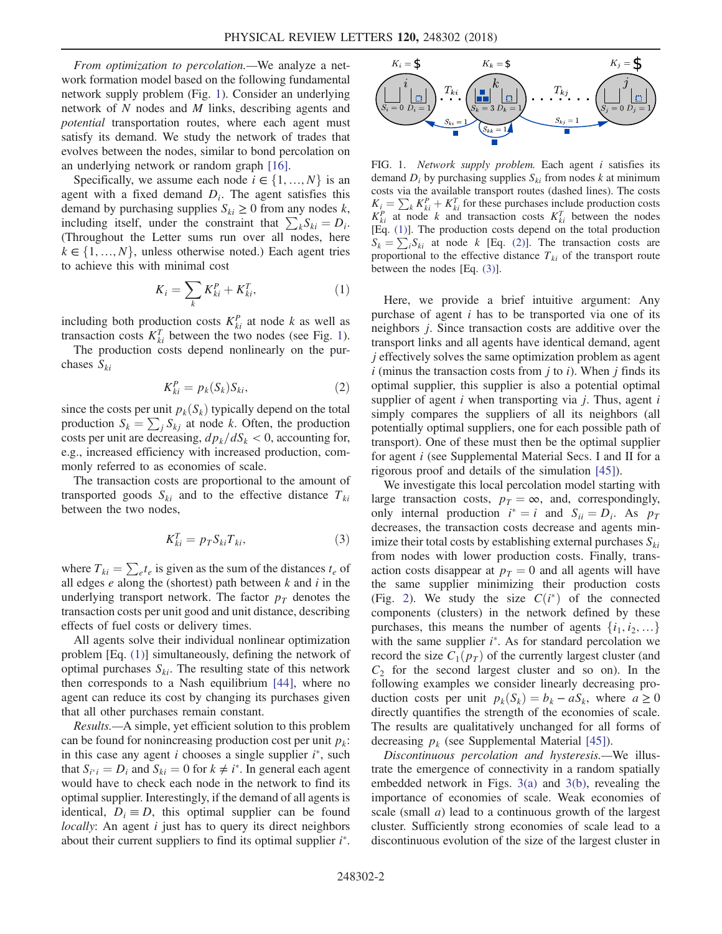From optimization to percolation.—We analyze a network formation model based on the following fundamental network supply problem (Fig. [1\)](#page-1-0). Consider an underlying network of N nodes and M links, describing agents and potential transportation routes, where each agent must satisfy its demand. We study the network of trades that evolves between the nodes, similar to bond percolation on an underlying network or random graph [\[16\]](#page-4-6).

Specifically, we assume each node  $i \in \{1, ..., N\}$  is an agent with a fixed demand  $D_i$ . The agent satisfies this demand by purchasing supplies  $S_{ki} \geq 0$  from any nodes k, including itself, under the constraint that  $\sum_k S_{ki} = D_i$ . (Throughout the Letter sums run over all nodes, here  $k \in \{1, ..., N\}$ , unless otherwise noted.) Each agent tries to achieve this with minimal cost

$$
K_i = \sum_k K_{ki}^P + K_{ki}^T,\tag{1}
$$

<span id="page-1-1"></span>including both production costs  $K_{ki}^P$  at node k as well as transaction costs  $K_{ki}^T$  between the two nodes (see Fig. [1](#page-1-0)).

<span id="page-1-2"></span>The production costs depend nonlinearly on the purchases  $S_{ki}$ 

$$
K_{ki}^P = p_k(S_k)S_{ki},\tag{2}
$$

since the costs per unit  $p_k(S_k)$  typically depend on the total production  $S_k = \sum_j S_{kj}$  at node k. Often, the production costs per unit are decreasing,  $dp_k/dS_k < 0$ , accounting for, e.g., increased efficiency with increased production, commonly referred to as economies of scale.

<span id="page-1-3"></span>The transaction costs are proportional to the amount of transported goods  $S_{ki}$  and to the effective distance  $T_{ki}$ between the two nodes,

$$
K_{ki}^T = p_T S_{ki} T_{ki},\tag{3}
$$

where  $T_{ki} = \sum_{e} t_e$  is given as the sum of the distances  $t_e$  of all edges  $e$  along the (shortest) path between  $k$  and  $i$  in the underlying transport network. The factor  $p_T$  denotes the transaction costs per unit good and unit distance, describing effects of fuel costs or delivery times.

All agents solve their individual nonlinear optimization problem [Eq. [\(1\)\]](#page-1-1) simultaneously, defining the network of optimal purchases  $S_{ki}$ . The resulting state of this network then corresponds to a Nash equilibrium [\[44\],](#page-5-3) where no agent can reduce its cost by changing its purchases given that all other purchases remain constant.

Results.—A simple, yet efficient solution to this problem can be found for nonincreasing production cost per unit  $p_k$ : in this case any agent *i* chooses a single supplier  $i^*$ , such that  $S_{i^*i} = D_i$  and  $S_{ki} = 0$  for  $k \neq i^*$ . In general each agent<br>would have to check each node in the network to find its would have to check each node in the network to find its optimal supplier. Interestingly, if the demand of all agents is identical,  $D_i \equiv D$ , this optimal supplier can be found *locally*: An agent *i* just has to query its direct neighbors about their current suppliers to find its optimal supplier  $i^*$ .

<span id="page-1-0"></span>

FIG. 1. Network supply problem. Each agent *i* satisfies its demand  $D_i$  by purchasing supplies  $S_{ki}$  from nodes k at minimum costs via the available transport routes (dashed lines). The costs  $K_i = \sum_k K_{ki}^p + K_{ki}^T$  for these purchases include production costs  $K_i^P$ , at node k and transaction costs  $K_i^T$ , between the nodes  $K_{ki}^{P}$  at node k and transaction costs  $K_{ki}^{T}$  between the nodes [Eq. [\(1\)](#page-1-1)]. The production costs depend on the total production  $S_k = \sum_i S_{ki}$  at node k [Eq. [\(2\)\]](#page-1-2). The transaction costs are proportional to the effective distance  $T_{ki}$  of the transport route between the nodes [Eq. [\(3\)](#page-1-3)].

Here, we provide a brief intuitive argument: Any purchase of agent  $i$  has to be transported via one of its neighbors j. Since transaction costs are additive over the transport links and all agents have identical demand, agent j effectively solves the same optimization problem as agent  $i$  (minus the transaction costs from  $j$  to  $i$ ). When  $j$  finds its optimal supplier, this supplier is also a potential optimal supplier of agent  $i$  when transporting via  $j$ . Thus, agent  $i$ simply compares the suppliers of all its neighbors (all potentially optimal suppliers, one for each possible path of transport). One of these must then be the optimal supplier for agent i (see Supplemental Material Secs. I and II for a rigorous proof and details of the simulation [\[45\]](#page-5-4)).

We investigate this local percolation model starting with large transaction costs,  $p_T = \infty$ , and, correspondingly, only internal production  $i^* = i$  and  $S_{ii} = D_i$ . As  $p_T$ <br>decreases the transaction costs decrease and agents mindecreases, the transaction costs decrease and agents minimize their total costs by establishing external purchases  $S_{ki}$ from nodes with lower production costs. Finally, transaction costs disappear at  $p_T = 0$  and all agents will have the same supplier minimizing their production costs (Fig. [2](#page-2-0)). We study the size  $C(i^*)$  of the connected components (clusters) in the network defined by these components (clusters) in the network defined by these purchases, this means the number of agents  $\{i_1, i_2, ...\}$ with the same supplier  $i^*$ . As for standard percolation we record the size  $C_1(p_T)$  of the currently largest cluster (and  $C_2$  for the second largest cluster and so on). In the following examples we consider linearly decreasing production costs per unit  $p_k(S_k) = b_k - aS_k$ , where  $a \ge 0$ directly quantifies the strength of the economies of scale. The results are qualitatively unchanged for all forms of decreasing  $p_k$  (see Supplemental Material [\[45\]](#page-5-4)).

Discontinuous percolation and hysteresis.—We illustrate the emergence of connectivity in a random spatially embedded network in Figs. [3\(a\)](#page-2-1) and [3\(b\)](#page-2-1), revealing the importance of economies of scale. Weak economies of scale (small  $a$ ) lead to a continuous growth of the largest cluster. Sufficiently strong economies of scale lead to a discontinuous evolution of the size of the largest cluster in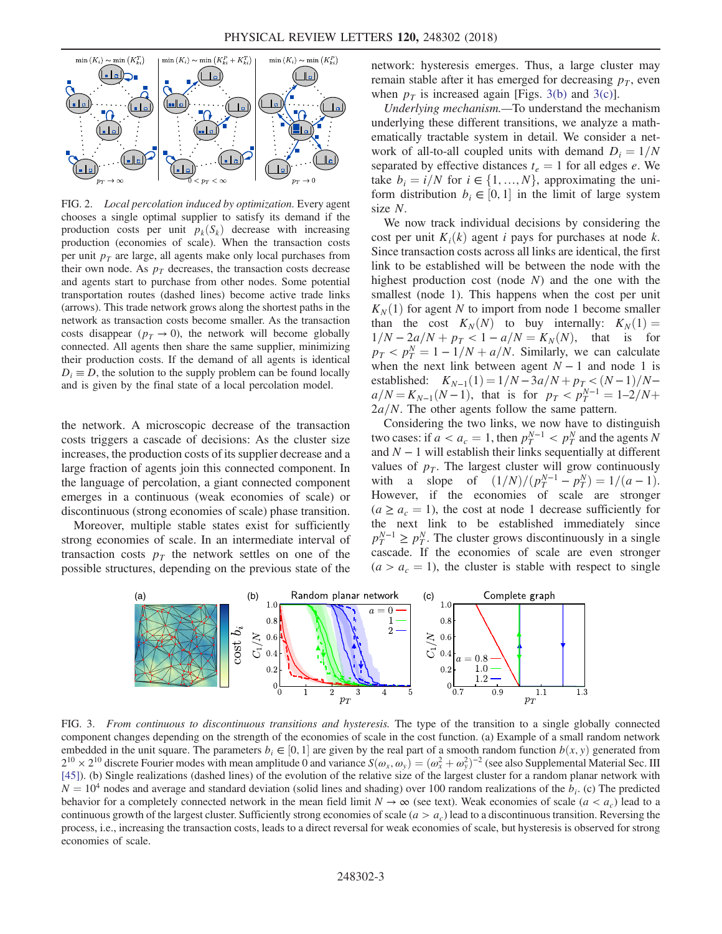<span id="page-2-0"></span>

FIG. 2. Local percolation induced by optimization. Every agent chooses a single optimal supplier to satisfy its demand if the production costs per unit  $p_k(S_k)$  decrease with increasing production (economies of scale). When the transaction costs per unit  $p<sub>T</sub>$  are large, all agents make only local purchases from their own node. As  $p_T$  decreases, the transaction costs decrease and agents start to purchase from other nodes. Some potential transportation routes (dashed lines) become active trade links (arrows). This trade network grows along the shortest paths in the network as transaction costs become smaller. As the transaction costs disappear ( $p_T \rightarrow 0$ ), the network will become globally connected. All agents then share the same supplier, minimizing their production costs. If the demand of all agents is identical  $D_i \equiv D$ , the solution to the supply problem can be found locally and is given by the final state of a local percolation model.

the network. A microscopic decrease of the transaction costs triggers a cascade of decisions: As the cluster size increases, the production costs of its supplier decrease and a large fraction of agents join this connected component. In the language of percolation, a giant connected component emerges in a continuous (weak economies of scale) or discontinuous (strong economies of scale) phase transition.

Moreover, multiple stable states exist for sufficiently strong economies of scale. In an intermediate interval of transaction costs  $p_T$  the network settles on one of the possible structures, depending on the previous state of the network: hysteresis emerges. Thus, a large cluster may remain stable after it has emerged for decreasing  $p<sub>T</sub>$ , even when  $p_T$  is increased again [Figs. [3\(b\)](#page-2-1) and [3\(c\)\]](#page-2-1).

Underlying mechanism.—To understand the mechanism underlying these different transitions, we analyze a mathematically tractable system in detail. We consider a network of all-to-all coupled units with demand  $D_i = 1/N$ separated by effective distances  $t_e = 1$  for all edges e. We take  $b_i = i/N$  for  $i \in \{1, ..., N\}$ , approximating the uniform distribution  $b_i \in [0, 1]$  in the limit of large system size N.

We now track individual decisions by considering the cost per unit  $K_i(k)$  agent i pays for purchases at node k. Since transaction costs across all links are identical, the first link to be established will be between the node with the highest production cost (node  $N$ ) and the one with the smallest (node 1). This happens when the cost per unit  $K_N(1)$  for agent N to import from node 1 become smaller than the cost  $K_N(N)$  to buy internally:  $K_N(1) =$  $1/N - 2a/N + p_T < 1 - a/N = K_N(N)$ , that is for  $p_T < p_T^N = 1 - 1/N + a/N$ . Similarly, we can calculate when the next link between agent  $N - 1$  and node 1 is established:  $K_{N-1}(1) = 1/N - 3a/N + p_T < (N-1)/N a/N = K_{N-1}(N-1)$ , that is for  $p_T < p_T^{N-1} = 1-2/N +$ <br> $2a/N$  The other agents follow the same pattern  $2a/N$ . The other agents follow the same pattern.

Considering the two links, we now have to distinguish two cases: if  $a < a_c = 1$ , then  $p_T^{N-1} < p_T^N$  and the agents N<br>and N – 1 will establish their links sequentially at different and  $N - 1$  will establish their links sequentially at different values of  $p_T$ . The largest cluster will grow continuously with a slope of  $\frac{1}{N}$  $\frac{1}{p_T^{N-1} - p_T^N} = \frac{1}{a - 1}.$ <br>However if the economies of scale are stronger However, if the economies of scale are stronger  $(a \ge a_c = 1)$ , the cost at node 1 decrease sufficiently for the next link to be established immediately since  $p_T^{N-1} \geq p_T^N$ . The cluster grows discontinuously in a single cascade. If the economies of scale are even stronger  $(a > a<sub>c</sub> = 1)$ , the cluster is stable with respect to single

<span id="page-2-1"></span>

FIG. 3. From continuous to discontinuous transitions and hysteresis. The type of the transition to a single globally connected component changes depending on the strength of the economies of scale in the cost function. (a) Example of a small random network embedded in the unit square. The parameters  $b_i \in [0, 1]$  are given by the real part of a smooth random function  $b(x, y)$  generated from  $2^{10} \times 2^{10}$  discrete Fourier modes with mean amplitude 0 and variance  $S(\omega_x, \omega_y) = (\omega_x^2 + \omega_y^2)^{-2}$  (see also Supplemental Material Sec. III) (b) Single realizations (dashed lines) of the evolution of the relative size [\[45\]\)](#page-5-4). (b) Single realizations (dashed lines) of the evolution of the relative size of the largest cluster for a random planar network with  $N = 10<sup>4</sup>$  nodes and average and standard deviation (solid lines and shading) over 100 random realizations of the  $b<sub>i</sub>$ . (c) The predicted behavior for a completely connected network in the mean field limit  $N \to \infty$  (see text). Weak economies of scale  $(a < a<sub>c</sub>)$  lead to a continuous growth of the largest cluster. Sufficiently strong economies of scale  $(a > a<sub>c</sub>)$  lead to a discontinuous transition. Reversing the process, i.e., increasing the transaction costs, leads to a direct reversal for weak economies of scale, but hysteresis is observed for strong economies of scale.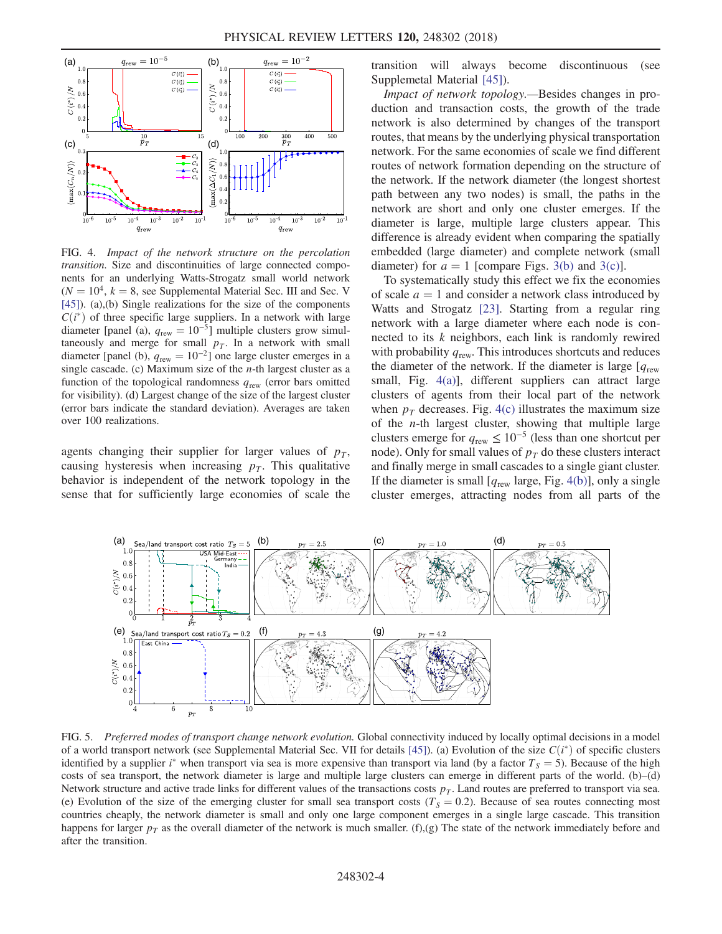<span id="page-3-0"></span>

FIG. 4. Impact of the network structure on the percolation transition. Size and discontinuities of large connected components for an underlying Watts-Strogatz small world network  $(N = 10<sup>4</sup>, k = 8$ , see Supplemental Material Sec. III and Sec. V [\[45\]\)](#page-5-4). (a),(b) Single realizations for the size of the components  $C(i^*)$  of three specific large suppliers. In a network with large<br>diameter [panel (a)  $a = 10^{-5}$ ] multiple clusters grow simuldiameter [panel (a),  $q_{\text{rew}} = 10^{-5}$ ] multiple clusters grow simultaneously and merge for small  $p<sub>T</sub>$ . In a network with small diameter [panel (b),  $q_{\text{rew}} = 10^{-2}$ ] one large cluster emerges in a single cascade. (c) Maximum size of the  $n$ -th largest cluster as a function of the topological randomness  $q_{\text{rew}}$  (error bars omitted for visibility). (d) Largest change of the size of the largest cluster (error bars indicate the standard deviation). Averages are taken over 100 realizations.

agents changing their supplier for larger values of  $p<sub>T</sub>$ , causing hysteresis when increasing  $p<sub>T</sub>$ . This qualitative behavior is independent of the network topology in the sense that for sufficiently large economies of scale the transition will always become discontinuous (see Supplemetal Material [\[45\]](#page-5-4)).

Impact of network topology.—Besides changes in production and transaction costs, the growth of the trade network is also determined by changes of the transport routes, that means by the underlying physical transportation network. For the same economies of scale we find different routes of network formation depending on the structure of the network. If the network diameter (the longest shortest path between any two nodes) is small, the paths in the network are short and only one cluster emerges. If the diameter is large, multiple large clusters appear. This difference is already evident when comparing the spatially embedded (large diameter) and complete network (small diameter) for  $a = 1$  [compare Figs. [3\(b\)](#page-2-1) and [3\(c\)\]](#page-2-1).

To systematically study this effect we fix the economies of scale  $a = 1$  and consider a network class introduced by Watts and Strogatz [\[23\].](#page-5-5) Starting from a regular ring network with a large diameter where each node is connected to its k neighbors, each link is randomly rewired with probability  $q_{\text{rew}}$ . This introduces shortcuts and reduces the diameter of the network. If the diameter is large  $[q_{\text{rew}}]$ small, Fig. [4\(a\)\]](#page-3-0), different suppliers can attract large clusters of agents from their local part of the network when  $p_T$  decreases. Fig. [4\(c\)](#page-3-0) illustrates the maximum size of the  $n$ -th largest cluster, showing that multiple large clusters emerge for  $q_{\text{rew}} \leq 10^{-5}$  (less than one shortcut per node). Only for small values of  $p_T$  do these clusters interact and finally merge in small cascades to a single giant cluster. If the diameter is small  $[q_{\text{rew}}]$  large, Fig. [4\(b\)](#page-3-0)], only a single cluster emerges, attracting nodes from all parts of the

<span id="page-3-1"></span>

FIG. 5. Preferred modes of transport change network evolution. Global connectivity induced by locally optimal decisions in a model of a world transport network (see Supplemental Material Sec. VII for details [\[45\]](#page-5-4)). (a) Evolution of the size  $C(i^*)$  of specific clusters identified by a supplier  $i^*$  when transport via sea is more expensive than transp identified by a supplier *i*\* when transport via sea is more expensive than transport via land (by a factor  $T_s = 5$ ). Because of the high costs of sea transport, the network diameter is large and multiple large clusters c costs of sea transport, the network diameter is large and multiple large clusters can emerge in different parts of the world. (b)–(d) Network structure and active trade links for different values of the transactions costs  $p<sub>T</sub>$ . Land routes are preferred to transport via sea. (e) Evolution of the size of the emerging cluster for small sea transport costs ( $T_s = 0.2$ ). Because of sea routes connecting most countries cheaply, the network diameter is small and only one large component emerges in a single large cascade. This transition happens for larger  $p<sub>T</sub>$  as the overall diameter of the network is much smaller. (f),(g) The state of the network immediately before and after the transition.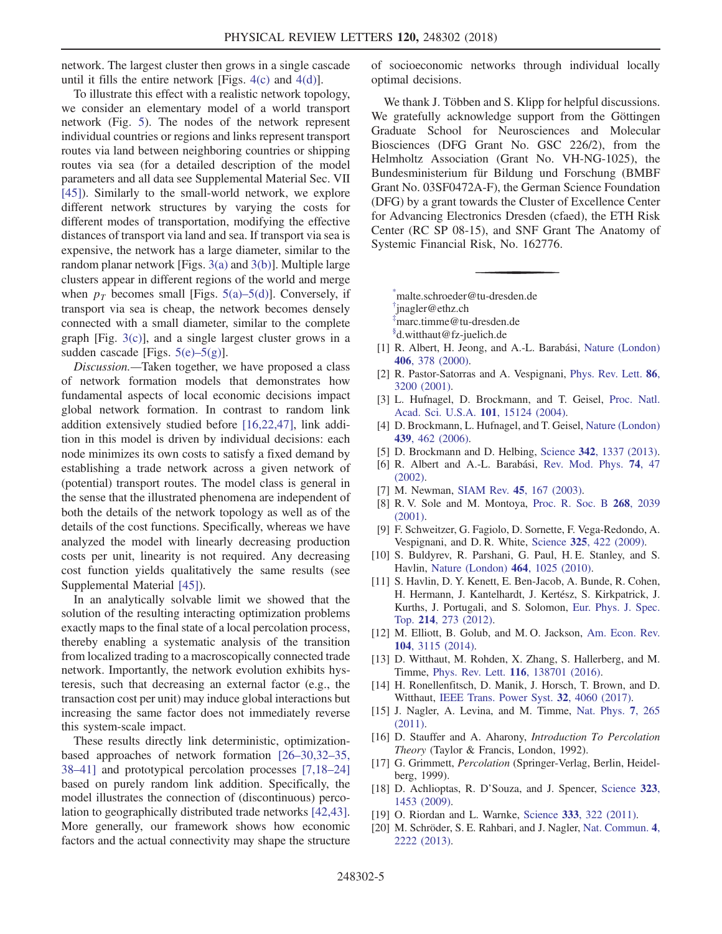network. The largest cluster then grows in a single cascade until it fills the entire network [Figs.  $4(c)$  and  $4(d)$ ].

To illustrate this effect with a realistic network topology, we consider an elementary model of a world transport network (Fig. [5\)](#page-3-1). The nodes of the network represent individual countries or regions and links represent transport routes via land between neighboring countries or shipping routes via sea (for a detailed description of the model parameters and all data see Supplemental Material Sec. VII [\[45\]](#page-5-4)). Similarly to the small-world network, we explore different network structures by varying the costs for different modes of transportation, modifying the effective distances of transport via land and sea. If transport via sea is expensive, the network has a large diameter, similar to the random planar network [Figs. [3\(a\)](#page-2-1) and [3\(b\)](#page-2-1)]. Multiple large clusters appear in different regions of the world and merge when  $p_T$  becomes small [Figs. 5(a)–[5\(d\)\]](#page-3-1). Conversely, if transport via sea is cheap, the network becomes densely connected with a small diameter, similar to the complete graph  $[Fig. 3(c)]$  $[Fig. 3(c)]$ , and a single largest cluster grows in a sudden cascade [Figs. 5(e)–[5\(g\)\]](#page-3-1).

Discussion.—Taken together, we have proposed a class of network formation models that demonstrates how fundamental aspects of local economic decisions impact global network formation. In contrast to random link addition extensively studied before [\[16,22,47\],](#page-4-6) link addition in this model is driven by individual decisions: each node minimizes its own costs to satisfy a fixed demand by establishing a trade network across a given network of (potential) transport routes. The model class is general in the sense that the illustrated phenomena are independent of both the details of the network topology as well as of the details of the cost functions. Specifically, whereas we have analyzed the model with linearly decreasing production costs per unit, linearity is not required. Any decreasing cost function yields qualitatively the same results (see Supplemental Material [\[45\]\)](#page-5-4).

In an analytically solvable limit we showed that the solution of the resulting interacting optimization problems exactly maps to the final state of a local percolation process, thereby enabling a systematic analysis of the transition from localized trading to a macroscopically connected trade network. Importantly, the network evolution exhibits hysteresis, such that decreasing an external factor (e.g., the transaction cost per unit) may induce global interactions but increasing the same factor does not immediately reverse this system-scale impact.

These results directly link deterministic, optimizationbased approaches of network formation [26–[30,32](#page-5-6)–35, 38–[41\]](#page-5-6) and prototypical percolation processes [\[7,18](#page-4-7)–24] based on purely random link addition. Specifically, the model illustrates the connection of (discontinuous) percolation to geographically distributed trade networks [\[42,43\]](#page-5-2). More generally, our framework shows how economic factors and the actual connectivity may shape the structure of socioeconomic networks through individual locally optimal decisions.

We thank J. Többen and S. Klipp for helpful discussions. We gratefully acknowledge support from the Göttingen Graduate School for Neurosciences and Molecular Biosciences (DFG Grant No. GSC 226/2), from the Helmholtz Association (Grant No. VH-NG-1025), the Bundesministerium für Bildung und Forschung (BMBF Grant No. 03SF0472A-F), the German Science Foundation (DFG) by a grant towards the Cluster of Excellence Center for Advancing Electronics Dresden (cfaed), the ETH Risk Center (RC SP 08-15), and SNF Grant The Anatomy of Systemic Financial Risk, No. 162776.

<span id="page-4-3"></span><span id="page-4-2"></span><span id="page-4-1"></span><span id="page-4-0"></span>[\\*](#page-0-0) malte.schroeder@tu-dresden.de [†](#page-0-0) jnagler@ethz.ch [‡](#page-0-0) marc.timme@tu-dresden.de [§](#page-0-0) d.witthaut@fz-juelich.de

- <span id="page-4-4"></span>[1] R. Albert, H. Jeong, and A.-L. Barabási, [Nature \(London\)](https://doi.org/10.1038/35019019) 406[, 378 \(2000\)](https://doi.org/10.1038/35019019).
- [2] R. Pastor-Satorras and A. Vespignani, [Phys. Rev. Lett.](https://doi.org/10.1103/PhysRevLett.86.3200) 86, [3200 \(2001\)](https://doi.org/10.1103/PhysRevLett.86.3200).
- [3] L. Hufnagel, D. Brockmann, and T. Geisel, [Proc. Natl.](https://doi.org/10.1073/pnas.0308344101) [Acad. Sci. U.S.A.](https://doi.org/10.1073/pnas.0308344101) 101, 15124 (2004).
- [4] D. Brockmann, L. Hufnagel, and T. Geisel, [Nature \(London\)](https://doi.org/10.1038/nature04292) 439[, 462 \(2006\)](https://doi.org/10.1038/nature04292).
- [5] D. Brockmann and D. Helbing, Science 342[, 1337 \(2013\).](https://doi.org/10.1126/science.1245200)
- [6] R. Albert and A.-L. Barabási, [Rev. Mod. Phys.](https://doi.org/10.1103/RevModPhys.74.47) 74, 47 [\(2002\).](https://doi.org/10.1103/RevModPhys.74.47)
- <span id="page-4-7"></span><span id="page-4-5"></span>[7] M. Newman, SIAM Rev. 45[, 167 \(2003\).](https://doi.org/10.1137/S003614450342480)
- [8] R. V. Sole and M. Montoya, [Proc. R. Soc. B](https://doi.org/10.1098/rspb.2001.1767) 268, 2039 [\(2001\).](https://doi.org/10.1098/rspb.2001.1767)
- [9] F. Schweitzer, G. Fagiolo, D. Sornette, F. Vega-Redondo, A. Vespignani, and D. R. White, Science 325[, 422 \(2009\).](https://doi.org/10.1126/science.1173644)
- [10] S. Buldyrev, R. Parshani, G. Paul, H. E. Stanley, and S. Havlin, [Nature \(London\)](https://doi.org/10.1038/nature08932) 464, 1025 (2010).
- [11] S. Havlin, D. Y. Kenett, E. Ben-Jacob, A. Bunde, R. Cohen, H. Hermann, J. Kantelhardt, J. Kertész, S. Kirkpatrick, J. Kurths, J. Portugali, and S. Solomon, [Eur. Phys. J. Spec.](https://doi.org/10.1140/epjst/e2012-01695-x) Top. 214[, 273 \(2012\).](https://doi.org/10.1140/epjst/e2012-01695-x)
- [12] M. Elliott, B. Golub, and M.O. Jackson, [Am. Econ. Rev.](https://doi.org/10.1257/aer.104.10.3115) 104[, 3115 \(2014\)](https://doi.org/10.1257/aer.104.10.3115).
- [13] D. Witthaut, M. Rohden, X. Zhang, S. Hallerberg, and M. Timme, Phys. Rev. Lett. 116[, 138701 \(2016\)](https://doi.org/10.1103/PhysRevLett.116.138701).
- [14] H. Ronellenfitsch, D. Manik, J. Horsch, T. Brown, and D. Witthaut, [IEEE Trans. Power Syst.](https://doi.org/10.1109/TPWRS.2017.2658022) 32, 4060 (2017).
- [15] J. Nagler, A. Levina, and M. Timme, [Nat. Phys.](https://doi.org/10.1038/nphys1860) 7, 265 [\(2011\).](https://doi.org/10.1038/nphys1860)
- <span id="page-4-6"></span>[16] D. Stauffer and A. Aharony, *Introduction To Percolation* Theory (Taylor & Francis, London, 1992).
- [17] G. Grimmett, *Percolation* (Springer-Verlag, Berlin, Heidelberg, 1999).
- [18] D. Achlioptas, R. D'Souza, and J. Spencer, [Science](https://doi.org/10.1126/science.1167782) 323, [1453 \(2009\)](https://doi.org/10.1126/science.1167782).
- [19] O. Riordan and L. Warnke, Science 333[, 322 \(2011\).](https://doi.org/10.1126/science.1206241)
- [20] M. Schröder, S. E. Rahbari, and J. Nagler, [Nat. Commun.](https://doi.org/10.1038/ncomms3222) 4, [2222 \(2013\)](https://doi.org/10.1038/ncomms3222).